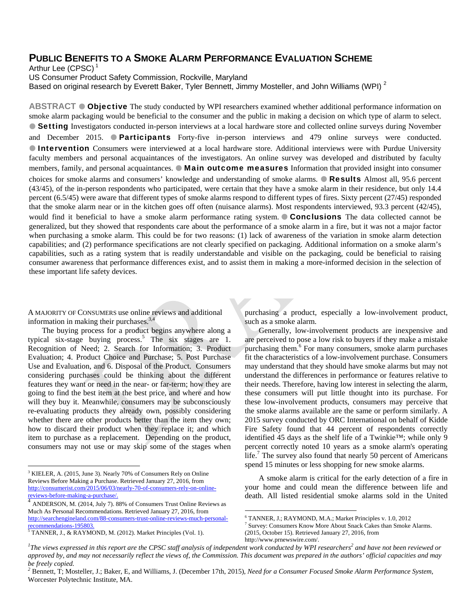## **PUBLIC BENEFITS TO A SMOKE ALARM PERFORMANCE EVALUATION SCHEME**

Arthur Lee  $(CPSC)^1$ 

US Consumer Product Safety Commission, Rockville, Maryland

Based on original research by Everett Baker, Tyler Bennett, Jimmy Mosteller, and John Williams (WPI)<sup>2</sup>

**ABSTRACT ● Objective** The study conducted by WPI researchers examined whether additional performance information on smoke alarm packaging would be beneficial to the consumer and the public in making a decision on which type of alarm to select. ● Setting Investigators conducted in-person interviews at a local hardware store and collected online surveys during November and December 2015. **Participants** Forty-five in-person interviews and 479 online surveys were conducted. **Intervention** Consumers were interviewed at a local hardware store. Additional interviews were with Purdue University faculty members and personal acquaintances of the investigators. An online survey was developed and distributed by faculty members, family, and personal acquaintances.  $\bullet$  Main outcome measures Information that provided insight into consumer choices for smoke alarms and consumers' knowledge and understanding of smoke alarms. **Results** Almost all, 95.6 percent (43/45), of the in-person respondents who participated, were certain that they have a smoke alarm in their residence, but only 14.4 percent (6.5/45) were aware that different types of smoke alarms respond to different types of fires. Sixty percent (27/45) responded that the smoke alarm near or in the kitchen goes off often (nuisance alarms). Most respondents interviewed, 93.3 percent (42/45), would find it beneficial to have a smoke alarm performance rating system. Conclusions The data collected cannot be generalized, but they showed that respondents care about the performance of a smoke alarm in a fire, but it was not a major factor when purchasing a smoke alarm. This could be for two reasons: (1) lack of awareness of the variation in smoke alarm detection capabilities; and (2) performance specifications are not clearly specified on packaging. Additional information on a smoke alarm's capabilities, such as a rating system that is readily understandable and visible on the packaging, could be beneficial to raising consumer awareness that performance differences exist, and to assist them in making a more-informed decision in the selection of these important life safety devices.

A MAJORITY OF CONSUMERS use online reviews and additional information in making their purchases.<sup>3,4</sup>

The buying process for a product begins anywhere along a typical six-stage buying process.<sup>5</sup> The six stages are 1. Recognition of Need; 2. Search for Information; 3. Product Evaluation; 4. Product Choice and Purchase; 5. Post Purchase Use and Evaluation, and 6. Disposal of the Product. Consumers considering purchases could be thinking about the different features they want or need in the near- or far-term; how they are going to find the best item at the best price, and where and how will they buy it. Meanwhile, consumers may be subconsciously re-evaluating products they already own, possibly considering whether there are other products better than the item they own; how to discard their product when they replace it; and which item to purchase as a replacement. Depending on the product, consumers may not use or may skip some of the stages when

 $\overline{a}$ 

purchasing a product, especially a low-involvement product, such as a smoke alarm.

Generally, low-involvement products are inexpensive and are perceived to pose a low risk to buyers if they make a mistake purchasing them.<sup>6</sup> For many consumers, smoke alarm purchases fit the characteristics of a low-involvement purchase. Consumers may understand that they should have smoke alarms but may not understand the differences in performance or features relative to their needs. Therefore, having low interest in selecting the alarm, these consumers will put little thought into its purchase. For these low-involvement products, consumers may perceive that the smoke alarms available are the same or perform similarly. A 2015 survey conducted by ORC International on behalf of Kidde Fire Safety found that 44 percent of respondents correctly identified 45 days as the shelf life of a Twinkie™; while only 9 percent correctly noted 10 years as a smoke alarm's operating life.<sup>7</sup> The survey also found that nearly 50 percent of Americans spend 15 minutes or less shopping for new smoke alarms.

A smoke alarm is critical for the early detection of a fire in your home and could mean the difference between life and death. All listed residential smoke alarms sold in the United

<sup>&</sup>lt;sup>3</sup> KIELER, A. (2015, June 3). Nearly 70% of Consumers Rely on Online Reviews Before Making a Purchase. Retrieved January 27, 2016, from http://consumerist.com/2015/06/03/nearly-70-of-consumers-rely-on-onlinereviews-before-making-a-purchase/.

<sup>4</sup> ANDERSON, M. (2014, July 7). 88% of Consumers Trust Online Reviews as Much As Personal Recommendations. Retrieved January 27, 2016, from http://searchengineland.com/88-consumers-trust-online-reviews-much-personalr<u>ecommendations-195803.</u><br><sup>5</sup> TANNER, J., & RAYMOND, M. (2012). Market Principles (Vol. 1).

 $\overline{a}$ 6 TANNER, J.; RAYMOND, M.A.; Market Principles v. 1.0, 2012

<sup>7</sup> Survey: Consumers Know More About Snack Cakes than Smoke Alarms. (2015, October 15). Retrieved January 27, 2016, from http://www.prnewswire.com/.

<sup>&</sup>lt;sup>1</sup>The views expressed in this report are the CPSC staff analysis of independent work conducted by WPI researchers<sup>2</sup> and have not been reviewed or *approved by, and may not necessarily reflect the views of, the Commission. This document was prepared in the authors' official capacities and may be freely copied.* 

*<sup>2</sup>* Bennett, T; Mosteller, J.; Baker, E, and Williams, J. (December 17th, 2015), *Need for a Consumer Focused Smoke Alarm Performance System*, Worcester Polytechnic Institute, MA.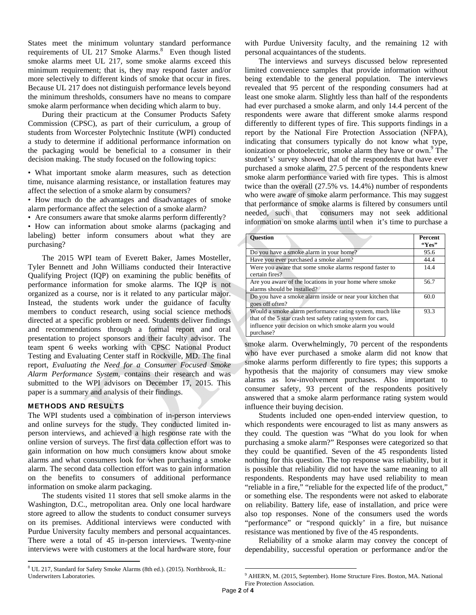States meet the minimum voluntary standard performance requirements of UL 217 Smoke Alarms.<sup>8</sup> Even though listed smoke alarms meet UL 217, some smoke alarms exceed this minimum requirement; that is, they may respond faster and/or more selectively to different kinds of smoke that occur in fires. Because UL 217 does not distinguish performance levels beyond the minimum thresholds, consumers have no means to compare smoke alarm performance when deciding which alarm to buy.

During their practicum at the Consumer Products Safety Commission (CPSC), as part of their curriculum, a group of students from Worcester Polytechnic Institute (WPI) conducted a study to determine if additional performance information on the packaging would be beneficial to a consumer in their decision making. The study focused on the following topics:

• What important smoke alarm measures, such as detection time, nuisance alarming resistance, or installation features may affect the selection of a smoke alarm by consumers?

• How much do the advantages and disadvantages of smoke alarm performance affect the selection of a smoke alarm?

• Are consumers aware that smoke alarms perform differently?

• How can information about smoke alarms (packaging and labeling) better inform consumers about what they are purchasing?

The 2015 WPI team of Everett Baker, James Mosteller, Tyler Bennett and John Williams conducted their Interactive Qualifying Project (IQP) on examining the public benefits of performance information for smoke alarms. The IQP is not organized as a course, nor is it related to any particular major. Instead, the students work under the guidance of faculty members to conduct research, using social science methods directed at a specific problem or need. Students deliver findings and recommendations through a formal report and oral presentation to project sponsors and their faculty advisor. The team spent 6 weeks working with CPSC National Product Testing and Evaluating Center staff in Rockville, MD. The final report, *Evaluating the Need for a Consumer Focused Smoke Alarm Performance System,* contains their research and was submitted to the WPI advisors on December 17, 2015. This paper is a summary and analysis of their findings.

## METHODS AND RESULTS

 $\overline{a}$ 

The WPI students used a combination of in-person interviews and online surveys for the study. They conducted limited inperson interviews, and achieved a high response rate with the online version of surveys. The first data collection effort was to gain information on how much consumers know about smoke alarms and what consumers look for when purchasing a smoke alarm. The second data collection effort was to gain information on the benefits to consumers of additional performance information on smoke alarm packaging.

The students visited 11 stores that sell smoke alarms in the Washington, D.C., metropolitan area. Only one local hardware store agreed to allow the students to conduct consumer surveys on its premises. Additional interviews were conducted with Purdue University faculty members and personal acquaintances. There were a total of 45 in-person interviews. Twenty-nine interviews were with customers at the local hardware store, four

with Purdue University faculty, and the remaining 12 with personal acquaintances of the students.

The interviews and surveys discussed below represented limited convenience samples that provide information without being extendable to the general population. The interviews revealed that 95 percent of the responding consumers had at least one smoke alarm. Slightly less than half of the respondents had ever purchased a smoke alarm, and only 14.4 percent of the respondents were aware that different smoke alarms respond differently to different types of fire. This supports findings in a report by the National Fire Protection Association (NFPA), indicating that consumers typically do not know what type, ionization or photoelectric, smoke alarm they have or own.<sup>9</sup> The student's' survey showed that of the respondents that have ever purchased a smoke alarm, 27.5 percent of the respondents knew smoke alarm performance varied with fire types. This is almost twice than the overall (27.5% vs. 14.4%) number of respondents who were aware of smoke alarm performance. This may suggest that performance of smoke alarms is filtered by consumers until needed, such that consumers may not seek additional information on smoke alarms until when it's time to purchase a

| <b>Ouestion</b>                                                                                                                                                                                 | <b>Percent</b><br>``Yes'' |
|-------------------------------------------------------------------------------------------------------------------------------------------------------------------------------------------------|---------------------------|
| Do you have a smoke alarm in your home?                                                                                                                                                         | 95.6                      |
| Have you ever purchased a smoke alarm?                                                                                                                                                          | 44.4                      |
| Were you aware that some smoke alarms respond faster to<br>certain fires?                                                                                                                       | 14.4                      |
| Are you aware of the locations in your home where smoke<br>alarms should be installed?                                                                                                          | 56.7                      |
| Do you have a smoke alarm inside or near your kitchen that<br>goes off often?                                                                                                                   | 60.0                      |
| Would a smoke alarm performance rating system, much like<br>that of the 5 star crash test safety rating system for cars,<br>influence your decision on which smoke alarm you would<br>purchase? | 93.3                      |

smoke alarm. Overwhelmingly, 70 percent of the respondents who have ever purchased a smoke alarm did not know that smoke alarms perform differently to fire types; this supports a hypothesis that the majority of consumers may view smoke alarms as low-involvement purchases. Also important to consumer safety, 93 percent of the respondents positively answered that a smoke alarm performance rating system would influence their buying decision.

Students included one open-ended interview question, to which respondents were encouraged to list as many answers as they could. The question was "What do you look for when purchasing a smoke alarm?" Responses were categorized so that they could be quantified. Seven of the 45 respondents listed nothing for this question. The top response was reliability, but it is possible that reliability did not have the same meaning to all respondents. Respondents may have used reliability to mean "reliable in a fire," "reliable for the expected life of the product," or something else. The respondents were not asked to elaborate on reliability. Battery life, ease of installation, and price were also top responses. None of the consumers used the words "performance" or "respond quickly' in a fire, but nuisance resistance was mentioned by five of the 45 respondents.

Reliability of a smoke alarm may convey the concept of dependability, successful operation or performance and/or the

 $\overline{a}$ 

<sup>&</sup>lt;sup>8</sup> UL 217, Standard for Safety Smoke Alarms (8th ed.). (2015). Northbrook, IL: Underwriters Laboratories.

<sup>&</sup>lt;sup>9</sup> AHERN, M. (2015, September). Home Structure Fires. Boston, MA. National Fire Protection Association.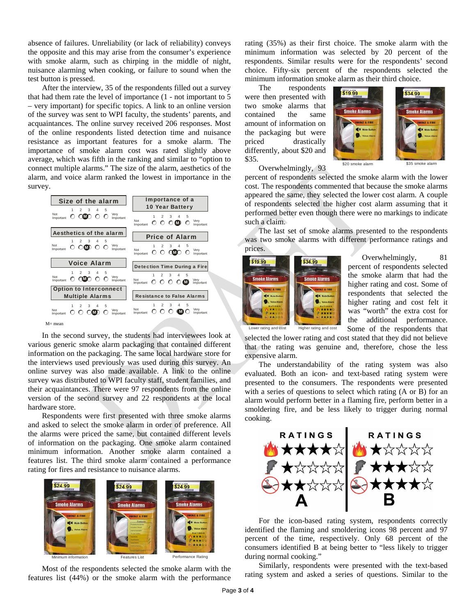absence of failures. Unreliability (or lack of reliability) conveys the opposite and this may arise from the consumer's experience with smoke alarm, such as chirping in the middle of night, nuisance alarming when cooking, or failure to sound when the test button is pressed.

After the interview, 35 of the respondents filled out a survey that had them rate the level of importance (1 - not important to 5 – very important) for specific topics. A link to an online version of the survey was sent to WPI faculty, the students' parents, and acquaintances. The online survey received 206 responses. Most of the online respondents listed detection time and nuisance resistance as important features for a smoke alarm. The importance of smoke alarm cost was rated slightly above average, which was fifth in the ranking and similar to "option to connect multiple alarms." The size of the alarm, aesthetics of the alarm, and voice alarm ranked the lowest in importance in the survey.

| Size of the alarm                                                                         | Importance of a                                                                                        |  |
|-------------------------------------------------------------------------------------------|--------------------------------------------------------------------------------------------------------|--|
|                                                                                           | 10 Year Battery                                                                                        |  |
| 3<br>1<br>$\mathbf{2}$<br>4<br>5<br>Not<br>Very<br>ന്താ<br>∩<br>Important<br>Important    | 3<br>5<br>$\mathcal{P}$<br>Not<br>Very<br>O O O <b>O</b> O<br>Important<br>Important                   |  |
| Aesthetics of the alarm<br>3<br>$\Delta$<br>5<br>$\mathbf{2}$<br>1                        | <b>Price of Alarm</b>                                                                                  |  |
| Not<br>Very<br>$\bigcirc$ MD<br>$\circ$<br>Important<br>Important                         | 3<br>$\mathfrak{p}$<br>Not<br>Very<br>റ റ നൈ<br>Important<br>Important                                 |  |
| <b>Voice Alarm</b>                                                                        | Detection Time During a Fire                                                                           |  |
| 1<br>$\mathfrak{D}$<br>3<br>4<br>5<br>Not<br>Very<br>നാതാര<br>O<br>Important<br>Important | 3<br>5<br>$\mathfrak{D}$<br>4<br>1<br>Not<br>Verv<br>ററ<br>O<br>$\mathbf{C}$<br>Important<br>Important |  |
| <b>Option to Interconnect</b><br><b>Multiple Alarms</b>                                   | <b>Resistance to False Alarms</b>                                                                      |  |
| 1<br>$\mathfrak{D}$<br>$\mathbf{3}$<br>4<br>5<br>Not<br>Very<br>Important<br>Important    | 3<br>5<br>$\mathfrak{p}$<br>4<br>Not<br>Very<br>M<br>Important<br>Important                            |  |
| M= mean                                                                                   |                                                                                                        |  |

In the second survey, the students had interviewees look at various generic smoke alarm packaging that contained different information on the packaging. The same local hardware store for the interviews used previously was used during this survey. An online survey was also made available. A link to the online survey was distributed to WPI faculty staff, student families, and their acquaintances. There were 97 respondents from the online version of the second survey and 22 respondents at the local hardware store.

Respondents were first presented with three smoke alarms and asked to select the smoke alarm in order of preference. All the alarms were priced the same, but contained different levels of information on the packaging. One smoke alarm contained minimum information. Another smoke alarm contained a features list. The third smoke alarm contained a performance rating for fires and resistance to nuisance alarms.



Most of the respondents selected the smoke alarm with the features list (44%) or the smoke alarm with the performance rating (35%) as their first choice. The smoke alarm with the minimum information was selected by 20 percent of the respondents. Similar results were for the respondents' second choice. Fifty-six percent of the respondents selected the minimum information smoke alarm as their third choice.

The respondents were then presented with two smoke alarms that contained the same amount of information on the packaging but were priced drastically differently, about \$20 and \$35.



Overwhelmingly, 93

percent of respondents selected the smoke alarm with the lower cost. The respondents commented that because the smoke alarms appeared the same, they selected the lower cost alarm. A couple of respondents selected the higher cost alarm assuming that it performed better even though there were no markings to indicate such a claim.

The last set of smoke alarms presented to the respondents was two smoke alarms with different performance ratings and prices.



Overwhelmingly, 81 percent of respondents selected the smoke alarm that had the higher rating and cost. Some of respondents that selected the higher rating and cost felt it was "worth" the extra cost for the additional performance. Some of the respondents that

Lower rating and cost Higher rating and cost

selected the lower rating and cost stated that they did not believe that the rating was genuine and, therefore, chose the less expensive alarm.

The understandability of the rating system was also evaluated. Both an icon- and text-based rating system were presented to the consumers. The respondents were presented with a series of questions to select which rating (A or B) for an alarm would perform better in a flaming fire, perform better in a smoldering fire, and be less likely to trigger during normal cooking.



For the icon-based rating system, respondents correctly identified the flaming and smoldering icons 98 percent and 97 percent of the time, respectively. Only 68 percent of the consumers identified B at being better to "less likely to trigger during normal cooking."

 Similarly, respondents were presented with the text-based rating system and asked a series of questions. Similar to the